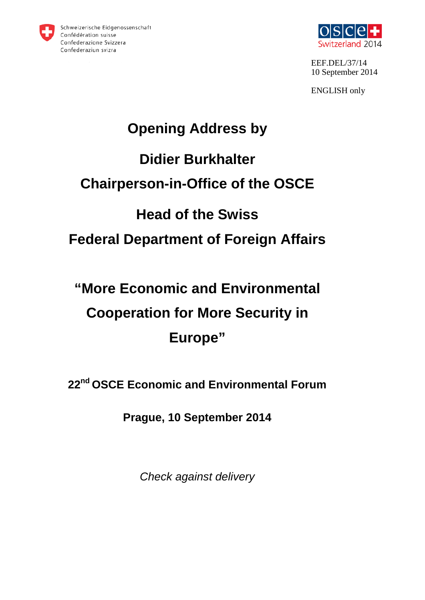



EEF.DEL/37/14 10 September 2014

ENGLISH only

# **Opening Address by Didier Burkhalter Chairperson-in-Office of the OSCE Head of the Swiss Federal Department of Foreign Affairs**

# **"More Economic and Environmental Cooperation for More Security in Europe"**

**22nd OSCE Economic and Environmental Forum**

**Prague, 10 September 2014**

*Check against delivery*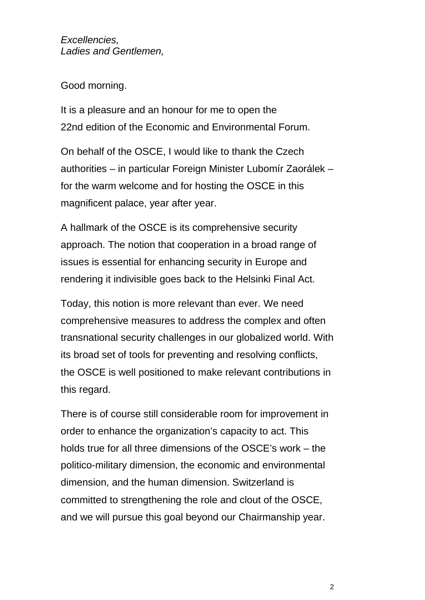*Excellencies, Ladies and Gentlemen,*

Good morning.

It is a pleasure and an honour for me to open the 22nd edition of the Economic and Environmental Forum.

On behalf of the OSCE, I would like to thank the Czech authorities – in particular Foreign Minister Lubomír Zaorálek – for the warm welcome and for hosting the OSCE in this magnificent palace, year after year.

A hallmark of the OSCE is its comprehensive security approach. The notion that cooperation in a broad range of issues is essential for enhancing security in Europe and rendering it indivisible goes back to the Helsinki Final Act.

Today, this notion is more relevant than ever. We need comprehensive measures to address the complex and often transnational security challenges in our globalized world. With its broad set of tools for preventing and resolving conflicts, the OSCE is well positioned to make relevant contributions in this regard.

There is of course still considerable room for improvement in order to enhance the organization's capacity to act. This holds true for all three dimensions of the OSCE's work – the politico-military dimension, the economic and environmental dimension, and the human dimension. Switzerland is committed to strengthening the role and clout of the OSCE, and we will pursue this goal beyond our Chairmanship year.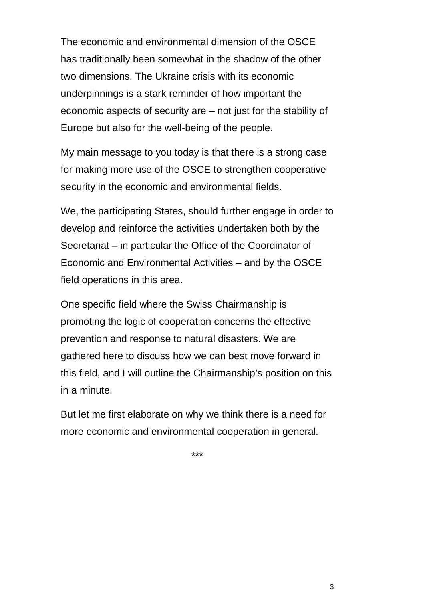The economic and environmental dimension of the OSCE has traditionally been somewhat in the shadow of the other two dimensions. The Ukraine crisis with its economic underpinnings is a stark reminder of how important the economic aspects of security are – not just for the stability of Europe but also for the well-being of the people.

My main message to you today is that there is a strong case for making more use of the OSCE to strengthen cooperative security in the economic and environmental fields.

We, the participating States, should further engage in order to develop and reinforce the activities undertaken both by the Secretariat – in particular the Office of the Coordinator of Economic and Environmental Activities – and by the OSCE field operations in this area.

One specific field where the Swiss Chairmanship is promoting the logic of cooperation concerns the effective prevention and response to natural disasters. We are gathered here to discuss how we can best move forward in this field, and I will outline the Chairmanship's position on this in a minute.

But let me first elaborate on why we think there is a need for more economic and environmental cooperation in general.

\*\*\*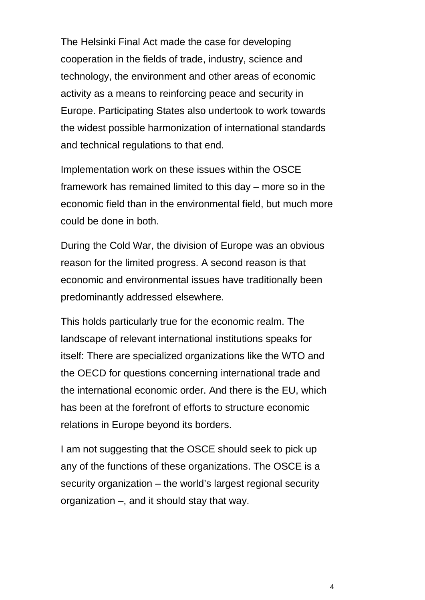The Helsinki Final Act made the case for developing cooperation in the fields of trade, industry, science and technology, the environment and other areas of economic activity as a means to reinforcing peace and security in Europe. Participating States also undertook to work towards the widest possible harmonization of international standards and technical regulations to that end.

Implementation work on these issues within the OSCE framework has remained limited to this day – more so in the economic field than in the environmental field, but much more could be done in both.

During the Cold War, the division of Europe was an obvious reason for the limited progress. A second reason is that economic and environmental issues have traditionally been predominantly addressed elsewhere.

This holds particularly true for the economic realm. The landscape of relevant international institutions speaks for itself: There are specialized organizations like the WTO and the OECD for questions concerning international trade and the international economic order. And there is the EU, which has been at the forefront of efforts to structure economic relations in Europe beyond its borders.

I am not suggesting that the OSCE should seek to pick up any of the functions of these organizations. The OSCE is a security organization – the world's largest regional security organization –, and it should stay that way.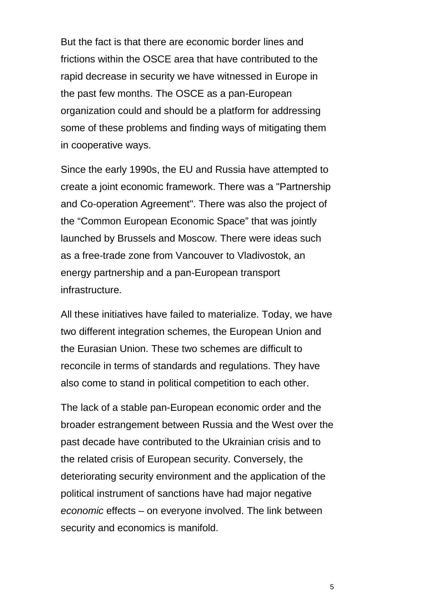But the fact is that there are economic border lines and frictions within the OSCE area that have contributed to the rapid decrease in security we have witnessed in Europe in the past few months. The OSCE as a pan-European organization could and should be a platform for addressing some of these problems and finding ways of mitigating them in cooperative ways.

Since the early 1990s, the EU and Russia have attempted to create a joint economic framework. There was a "Partnership and Co-operation Agreement". There was also the project of the "Common European Economic Space" that was jointly launched by Brussels and Moscow. There were ideas such as a free-trade zone from Vancouver to Vladivostok, an energy partnership and a pan-European transport infrastructure.

All these initiatives have failed to materialize. Today, we have two different integration schemes, the European Union and the Eurasian Union. These two schemes are difficult to reconcile in terms of standards and regulations. They have also come to stand in political competition to each other.

The lack of a stable pan-European economic order and the broader estrangement between Russia and the West over the past decade have contributed to the Ukrainian crisis and to the related crisis of European security. Conversely, the deteriorating security environment and the application of the political instrument of sanctions have had major negative *economic* effects – on everyone involved. The link between security and economics is manifold.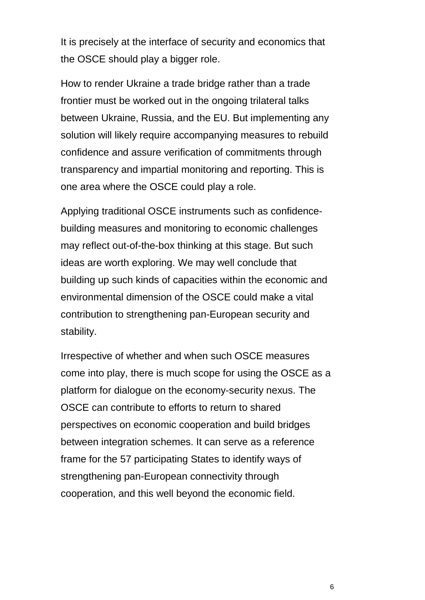It is precisely at the interface of security and economics that the OSCE should play a bigger role.

How to render Ukraine a trade bridge rather than a trade frontier must be worked out in the ongoing trilateral talks between Ukraine, Russia, and the EU. But implementing any solution will likely require accompanying measures to rebuild confidence and assure verification of commitments through transparency and impartial monitoring and reporting. This is one area where the OSCE could play a role.

Applying traditional OSCE instruments such as confidencebuilding measures and monitoring to economic challenges may reflect out-of-the-box thinking at this stage. But such ideas are worth exploring. We may well conclude that building up such kinds of capacities within the economic and environmental dimension of the OSCE could make a vital contribution to strengthening pan-European security and stability.

Irrespective of whether and when such OSCE measures come into play, there is much scope for using the OSCE as a platform for dialogue on the economy-security nexus. The OSCE can contribute to efforts to return to shared perspectives on economic cooperation and build bridges between integration schemes. It can serve as a reference frame for the 57 participating States to identify ways of strengthening pan-European connectivity through cooperation, and this well beyond the economic field.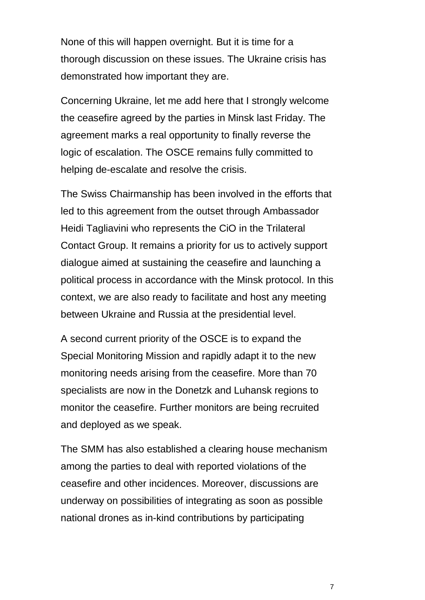None of this will happen overnight. But it is time for a thorough discussion on these issues. The Ukraine crisis has demonstrated how important they are.

Concerning Ukraine, let me add here that I strongly welcome the ceasefire agreed by the parties in Minsk last Friday. The agreement marks a real opportunity to finally reverse the logic of escalation. The OSCE remains fully committed to helping de-escalate and resolve the crisis.

The Swiss Chairmanship has been involved in the efforts that led to this agreement from the outset through Ambassador Heidi Tagliavini who represents the CiO in the Trilateral Contact Group. It remains a priority for us to actively support dialogue aimed at sustaining the ceasefire and launching a political process in accordance with the Minsk protocol. In this context, we are also ready to facilitate and host any meeting between Ukraine and Russia at the presidential level.

A second current priority of the OSCE is to expand the Special Monitoring Mission and rapidly adapt it to the new monitoring needs arising from the ceasefire. More than 70 specialists are now in the Donetzk and Luhansk regions to monitor the ceasefire. Further monitors are being recruited and deployed as we speak.

The SMM has also established a clearing house mechanism among the parties to deal with reported violations of the ceasefire and other incidences. Moreover, discussions are underway on possibilities of integrating as soon as possible national drones as in-kind contributions by participating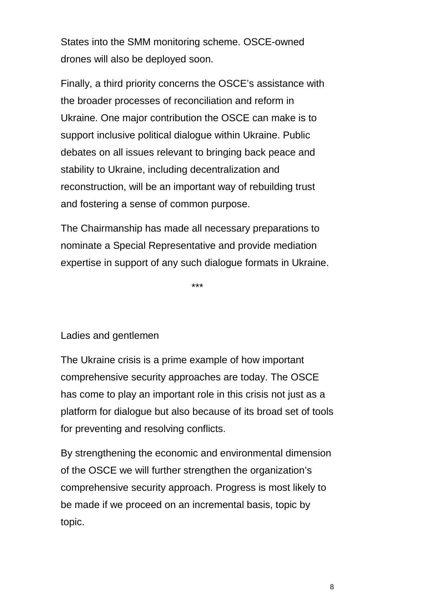States into the SMM monitoring scheme. OSCE-owned drones will also be deployed soon.

Finally, a third priority concerns the OSCE's assistance with the broader processes of reconciliation and reform in Ukraine. One major contribution the OSCE can make is to support inclusive political dialogue within Ukraine. Public debates on all issues relevant to bringing back peace and stability to Ukraine, including decentralization and reconstruction, will be an important way of rebuilding trust and fostering a sense of common purpose.

The Chairmanship has made all necessary preparations to nominate a Special Representative and provide mediation expertise in support of any such dialogue formats in Ukraine.

\*\*\*

#### Ladies and gentlemen

The Ukraine crisis is a prime example of how important comprehensive security approaches are today. The OSCE has come to play an important role in this crisis not just as a platform for dialogue but also because of its broad set of tools for preventing and resolving conflicts.

By strengthening the economic and environmental dimension of the OSCE we will further strengthen the organization's comprehensive security approach. Progress is most likely to be made if we proceed on an incremental basis, topic by topic.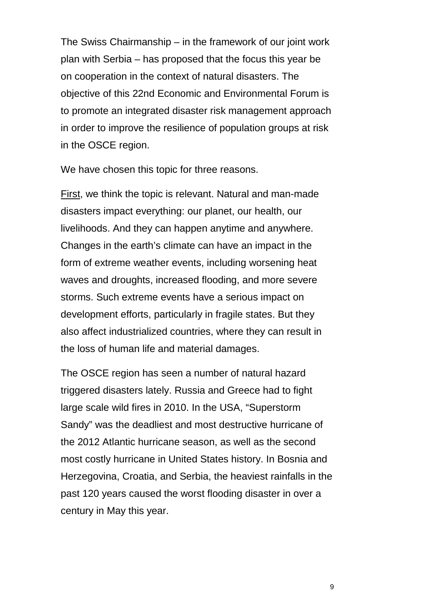The Swiss Chairmanship – in the framework of our joint work plan with Serbia – has proposed that the focus this year be on cooperation in the context of natural disasters. The objective of this 22nd Economic and Environmental Forum is to promote an integrated disaster risk management approach in order to improve the resilience of population groups at risk in the OSCE region.

We have chosen this topic for three reasons.

First, we think the topic is relevant. Natural and man-made disasters impact everything: our planet, our health, our livelihoods. And they can happen anytime and anywhere. Changes in the earth's climate can have an impact in the form of extreme weather events, including worsening heat waves and droughts, increased flooding, and more severe storms. Such extreme events have a serious impact on development efforts, particularly in fragile states. But they also affect industrialized countries, where they can result in the loss of human life and material damages.

The OSCE region has seen a number of natural hazard triggered disasters lately. Russia and Greece had to fight large scale wild fires in 2010. In the USA, "Superstorm Sandy" was the deadliest and most destructive hurricane of the 2012 Atlantic hurricane season, as well as the second most costly hurricane in United States history. In Bosnia and Herzegovina, Croatia, and Serbia, the heaviest rainfalls in the past 120 years caused the worst flooding disaster in over a century in May this year.

9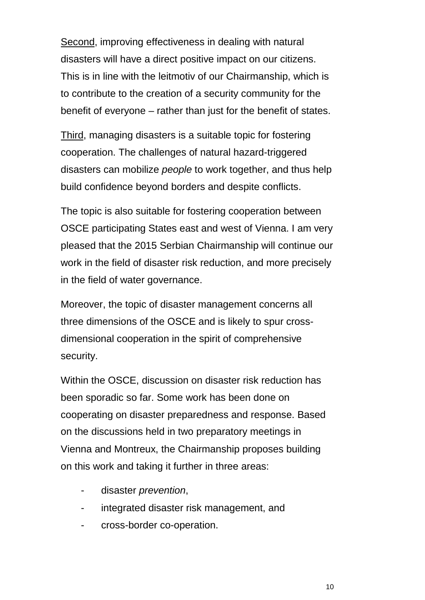Second, improving effectiveness in dealing with natural disasters will have a direct positive impact on our citizens. This is in line with the leitmotiv of our Chairmanship, which is to contribute to the creation of a security community for the benefit of everyone – rather than just for the benefit of states.

Third, managing disasters is a suitable topic for fostering cooperation. The challenges of natural hazard-triggered disasters can mobilize *people* to work together, and thus help build confidence beyond borders and despite conflicts.

The topic is also suitable for fostering cooperation between OSCE participating States east and west of Vienna. I am very pleased that the 2015 Serbian Chairmanship will continue our work in the field of disaster risk reduction, and more precisely in the field of water governance.

Moreover, the topic of disaster management concerns all three dimensions of the OSCE and is likely to spur crossdimensional cooperation in the spirit of comprehensive security.

Within the OSCE, discussion on disaster risk reduction has been sporadic so far. Some work has been done on cooperating on disaster preparedness and response. Based on the discussions held in two preparatory meetings in Vienna and Montreux, the Chairmanship proposes building on this work and taking it further in three areas:

- disaster *prevention*,
- integrated disaster risk management, and
- cross-border co-operation.

10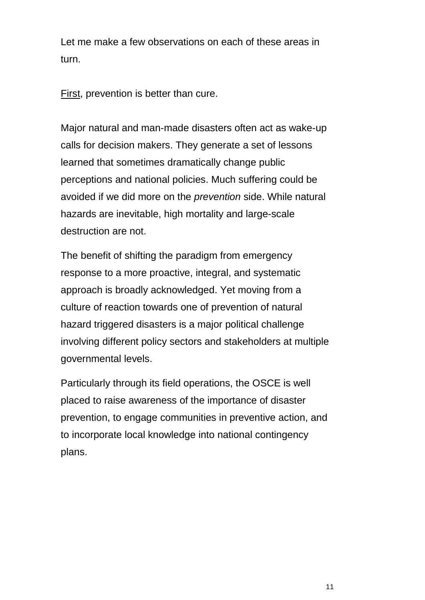Let me make a few observations on each of these areas in turn.

First, prevention is better than cure.

Major natural and man-made disasters often act as wake-up calls for decision makers. They generate a set of lessons learned that sometimes dramatically change public perceptions and national policies. Much suffering could be avoided if we did more on the *prevention* side. While natural hazards are inevitable, high mortality and large-scale destruction are not.

The benefit of shifting the paradigm from emergency response to a more proactive, integral, and systematic approach is broadly acknowledged. Yet moving from a culture of reaction towards one of prevention of natural hazard triggered disasters is a major political challenge involving different policy sectors and stakeholders at multiple governmental levels.

Particularly through its field operations, the OSCE is well placed to raise awareness of the importance of disaster prevention, to engage communities in preventive action, and to incorporate local knowledge into national contingency plans.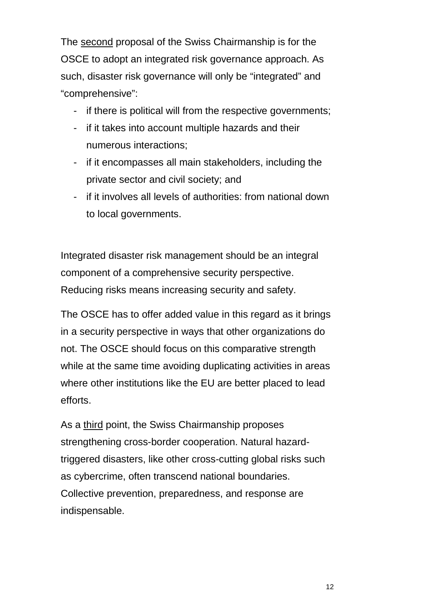The second proposal of the Swiss Chairmanship is for the OSCE to adopt an integrated risk governance approach. As such, disaster risk governance will only be "integrated" and "comprehensive":

- if there is political will from the respective governments;
- if it takes into account multiple hazards and their numerous interactions;
- if it encompasses all main stakeholders, including the private sector and civil society; and
- if it involves all levels of authorities: from national down to local governments.

Integrated disaster risk management should be an integral component of a comprehensive security perspective. Reducing risks means increasing security and safety.

The OSCE has to offer added value in this regard as it brings in a security perspective in ways that other organizations do not. The OSCE should focus on this comparative strength while at the same time avoiding duplicating activities in areas where other institutions like the EU are better placed to lead efforts.

As a third point, the Swiss Chairmanship proposes strengthening cross-border cooperation. Natural hazardtriggered disasters, like other cross-cutting global risks such as cybercrime, often transcend national boundaries. Collective prevention, preparedness, and response are indispensable.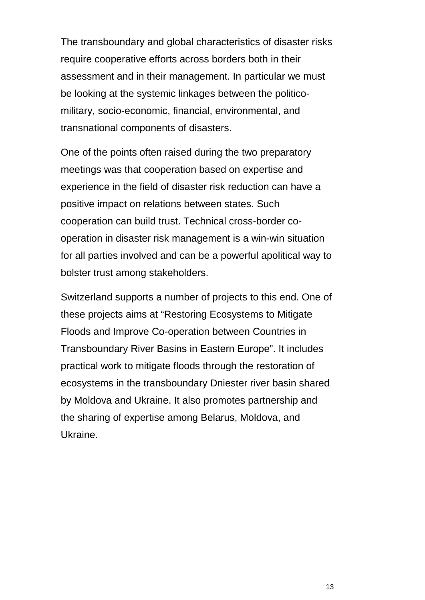The transboundary and global characteristics of disaster risks require cooperative efforts across borders both in their assessment and in their management. In particular we must be looking at the systemic linkages between the politicomilitary, socio-economic, financial, environmental, and transnational components of disasters.

One of the points often raised during the two preparatory meetings was that cooperation based on expertise and experience in the field of disaster risk reduction can have a positive impact on relations between states. Such cooperation can build trust. Technical cross-border cooperation in disaster risk management is a win-win situation for all parties involved and can be a powerful apolitical way to bolster trust among stakeholders.

Switzerland supports a number of projects to this end. One of these projects aims at "Restoring Ecosystems to Mitigate Floods and Improve Co-operation between Countries in Transboundary River Basins in Eastern Europe". It includes practical work to mitigate floods through the restoration of ecosystems in the transboundary Dniester river basin shared by Moldova and Ukraine. It also promotes partnership and the sharing of expertise among Belarus, Moldova, and Ukraine.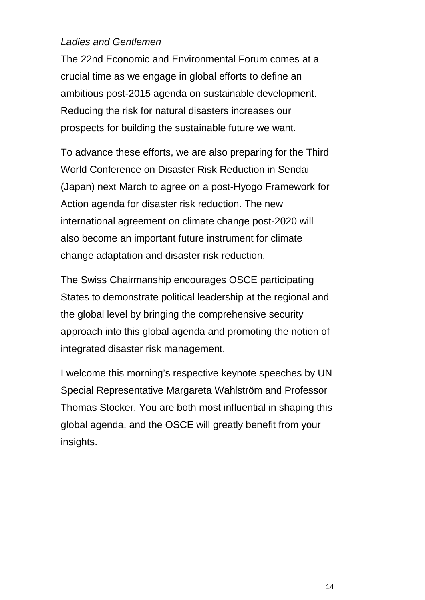### *Ladies and Gentlemen*

The 22nd Economic and Environmental Forum comes at a crucial time as we engage in global efforts to define an ambitious post-2015 agenda on sustainable development. Reducing the risk for natural disasters increases our prospects for building the sustainable future we want.

To advance these efforts, we are also preparing for the Third World Conference on Disaster Risk Reduction in Sendai (Japan) next March to agree on a post-Hyogo Framework for Action agenda for disaster risk reduction. The new international agreement on climate change post-2020 will also become an important future instrument for climate change adaptation and disaster risk reduction.

The Swiss Chairmanship encourages OSCE participating States to demonstrate political leadership at the regional and the global level by bringing the comprehensive security approach into this global agenda and promoting the notion of integrated disaster risk management.

I welcome this morning's respective keynote speeches by UN Special Representative Margareta Wahlström and Professor Thomas Stocker. You are both most influential in shaping this global agenda, and the OSCE will greatly benefit from your insights.